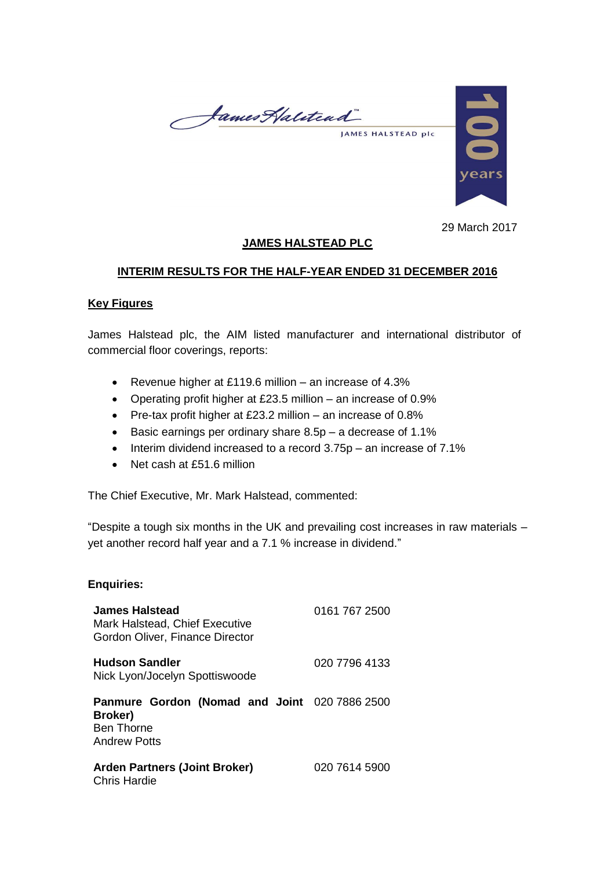James Halitead JAMES HALSTEAD plc



29 March 2017

# **JAMES HALSTEAD PLC**

## **INTERIM RESULTS FOR THE HALF-YEAR ENDED 31 DECEMBER 2016**

### **Key Figures**

James Halstead plc, the AIM listed manufacturer and international distributor of commercial floor coverings, reports:

- Revenue higher at £119.6 million an increase of 4.3%
- Operating profit higher at £23.5 million an increase of 0.9%
- Pre-tax profit higher at £23.2 million an increase of 0.8%
- $\bullet$  Basic earnings per ordinary share 8.5p a decrease of 1.1%
- $\bullet$  Interim dividend increased to a record 3.75p an increase of 7.1%
- Net cash at £51.6 million

The Chief Executive, Mr. Mark Halstead, commented:

"Despite a tough six months in the UK and prevailing cost increases in raw materials – yet another record half year and a 7.1 % increase in dividend."

### **Enquiries:**

| <b>James Halstead</b><br>Mark Halstead, Chief Executive<br>Gordon Oliver, Finance Director                  | 0161 767 2500 |
|-------------------------------------------------------------------------------------------------------------|---------------|
| <b>Hudson Sandler</b><br>Nick Lyon/Jocelyn Spottiswoode                                                     | 020 7796 4133 |
| <b>Panmure Gordon (Nomad and Joint 020 7886 2500</b><br>Broker)<br><b>Ben Thorne</b><br><b>Andrew Potts</b> |               |
| <b>Arden Partners (Joint Broker)</b><br><b>Chris Hardie</b>                                                 | 020 7614 5900 |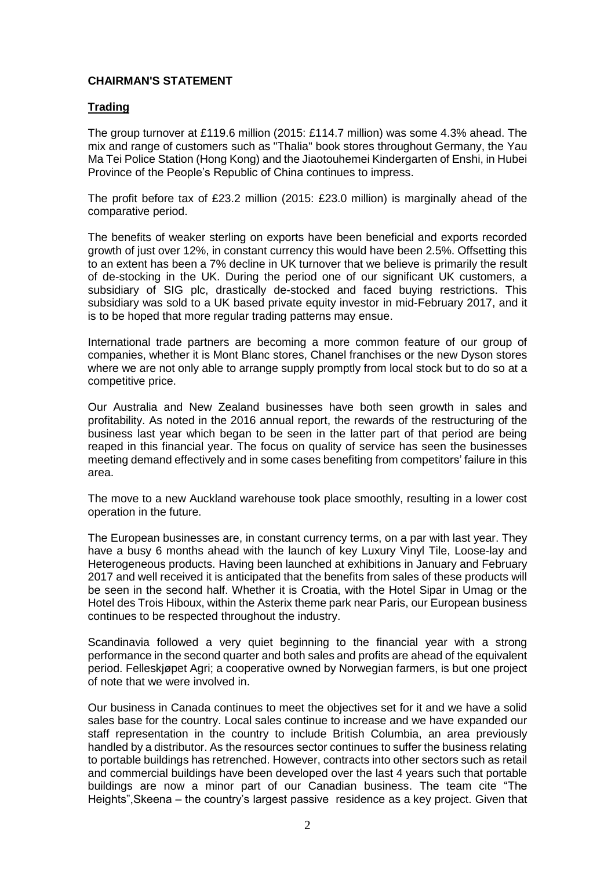# **CHAIRMAN'S STATEMENT**

# **Trading**

The group turnover at £119.6 million (2015: £114.7 million) was some 4.3% ahead. The mix and range of customers such as "Thalia" book stores throughout Germany, the Yau Ma Tei Police Station (Hong Kong) and the Jiaotouhemei Kindergarten of Enshi, in Hubei Province of the People's Republic of China continues to impress.

The profit before tax of £23.2 million (2015: £23.0 million) is marginally ahead of the comparative period.

The benefits of weaker sterling on exports have been beneficial and exports recorded growth of just over 12%, in constant currency this would have been 2.5%. Offsetting this to an extent has been a 7% decline in UK turnover that we believe is primarily the result of de-stocking in the UK. During the period one of our significant UK customers, a subsidiary of SIG plc, drastically de-stocked and faced buying restrictions. This subsidiary was sold to a UK based private equity investor in mid-February 2017, and it is to be hoped that more regular trading patterns may ensue.

International trade partners are becoming a more common feature of our group of companies, whether it is Mont Blanc stores, Chanel franchises or the new Dyson stores where we are not only able to arrange supply promptly from local stock but to do so at a competitive price.

Our Australia and New Zealand businesses have both seen growth in sales and profitability. As noted in the 2016 annual report, the rewards of the restructuring of the business last year which began to be seen in the latter part of that period are being reaped in this financial year. The focus on quality of service has seen the businesses meeting demand effectively and in some cases benefiting from competitors' failure in this area.

The move to a new Auckland warehouse took place smoothly, resulting in a lower cost operation in the future.

The European businesses are, in constant currency terms, on a par with last year. They have a busy 6 months ahead with the launch of key Luxury Vinyl Tile, Loose-lay and Heterogeneous products. Having been launched at exhibitions in January and February 2017 and well received it is anticipated that the benefits from sales of these products will be seen in the second half. Whether it is Croatia, with the Hotel Sipar in Umag or the Hotel des Trois Hiboux, within the Asterix theme park near Paris, our European business continues to be respected throughout the industry.

Scandinavia followed a very quiet beginning to the financial year with a strong performance in the second quarter and both sales and profits are ahead of the equivalent period. Felleskjøpet Agri; a cooperative owned by Norwegian farmers, is but one project of note that we were involved in.

Our business in Canada continues to meet the objectives set for it and we have a solid sales base for the country. Local sales continue to increase and we have expanded our staff representation in the country to include British Columbia, an area previously handled by a distributor. As the resources sector continues to suffer the business relating to portable buildings has retrenched. However, contracts into other sectors such as retail and commercial buildings have been developed over the last 4 years such that portable buildings are now a minor part of our Canadian business. The team cite "The Heights",Skeena – the country's largest passive residence as a key project. Given that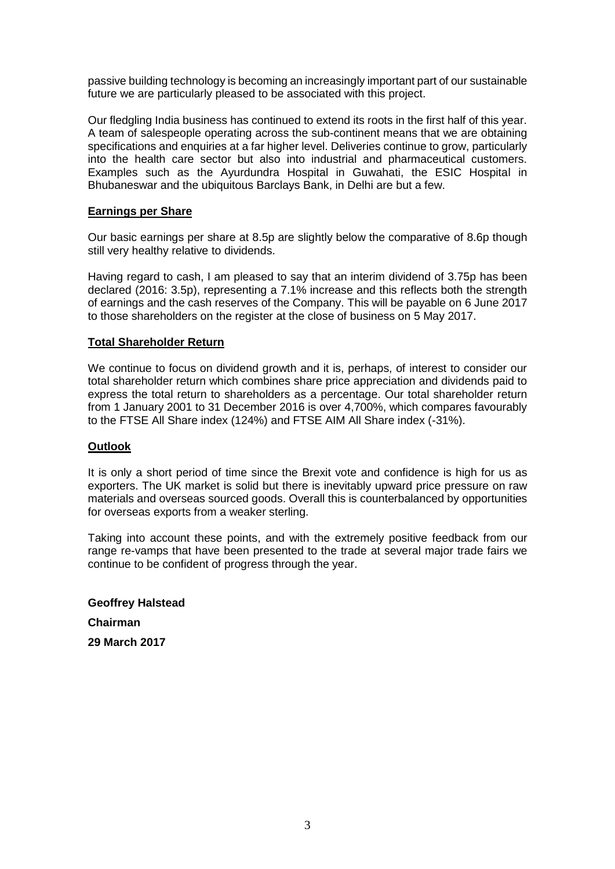passive building technology is becoming an increasingly important part of our sustainable future we are particularly pleased to be associated with this project.

Our fledgling India business has continued to extend its roots in the first half of this year. A team of salespeople operating across the sub-continent means that we are obtaining specifications and enquiries at a far higher level. Deliveries continue to grow, particularly into the health care sector but also into industrial and pharmaceutical customers. Examples such as the Ayurdundra Hospital in Guwahati, the ESIC Hospital in Bhubaneswar and the ubiquitous Barclays Bank, in Delhi are but a few.

### **Earnings per Share**

Our basic earnings per share at 8.5p are slightly below the comparative of 8.6p though still very healthy relative to dividends.

Having regard to cash, I am pleased to say that an interim dividend of 3.75p has been declared (2016: 3.5p), representing a 7.1% increase and this reflects both the strength of earnings and the cash reserves of the Company. This will be payable on 6 June 2017 to those shareholders on the register at the close of business on 5 May 2017.

#### **Total Shareholder Return**

We continue to focus on dividend growth and it is, perhaps, of interest to consider our total shareholder return which combines share price appreciation and dividends paid to express the total return to shareholders as a percentage. Our total shareholder return from 1 January 2001 to 31 December 2016 is over 4,700%, which compares favourably to the FTSE All Share index (124%) and FTSE AIM All Share index (-31%).

#### **Outlook**

It is only a short period of time since the Brexit vote and confidence is high for us as exporters. The UK market is solid but there is inevitably upward price pressure on raw materials and overseas sourced goods. Overall this is counterbalanced by opportunities for overseas exports from a weaker sterling.

Taking into account these points, and with the extremely positive feedback from our range re-vamps that have been presented to the trade at several major trade fairs we continue to be confident of progress through the year.

**Geoffrey Halstead Chairman 29 March 2017**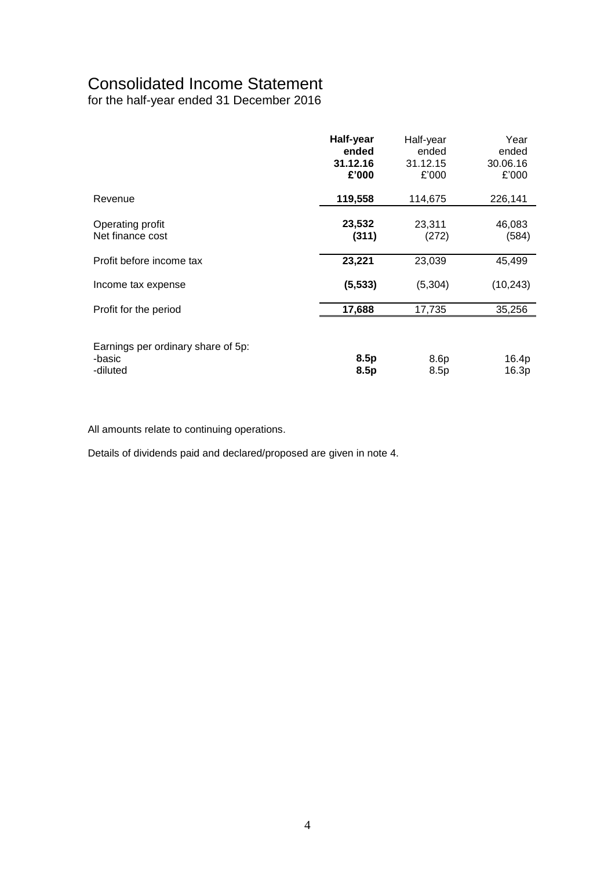# Consolidated Income Statement

for the half-year ended 31 December 2016

|                                                          | Half-year<br>ended<br>31.12.16<br>£'000 | Half-year<br>ended<br>31.12.15<br>£'000 | Year<br>ended<br>30.06.16<br>£'000 |
|----------------------------------------------------------|-----------------------------------------|-----------------------------------------|------------------------------------|
| Revenue                                                  | 119,558                                 | 114,675                                 | 226,141                            |
| Operating profit<br>Net finance cost                     | 23,532<br>(311)                         | 23,311<br>(272)                         | 46,083<br>(584)                    |
| Profit before income tax                                 | 23,221                                  | 23,039                                  | 45,499                             |
| Income tax expense                                       | (5, 533)                                | (5,304)                                 | (10, 243)                          |
| Profit for the period                                    | 17,688                                  | 17,735                                  | 35,256                             |
| Earnings per ordinary share of 5p:<br>-basic<br>-diluted | 8.5p<br>8.5p                            | 8.6p<br>8.5p                            | 16.4p<br>16.3p                     |

All amounts relate to continuing operations.

Details of dividends paid and declared/proposed are given in note 4.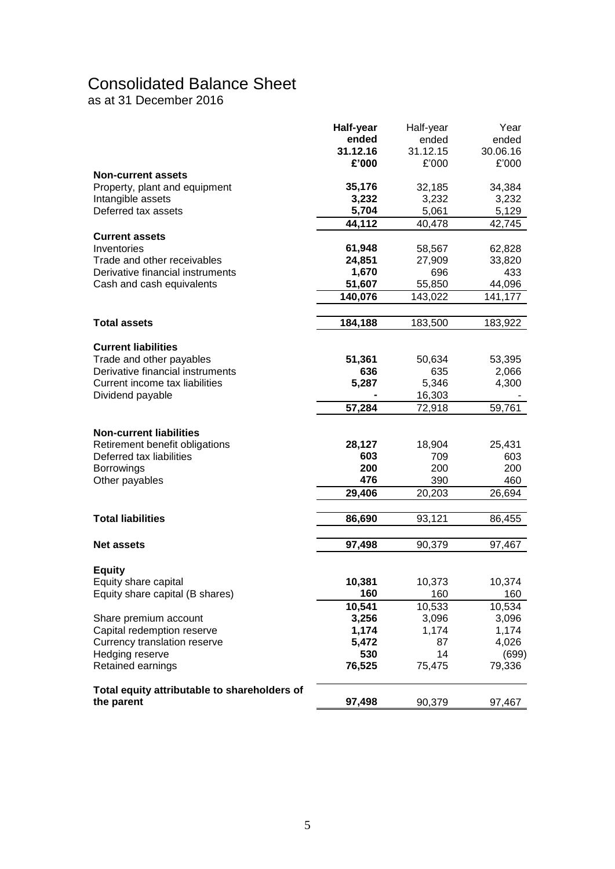# Consolidated Balance Sheet

as at 31 December 2016

|                                              | Half-year | Half-year | Year     |
|----------------------------------------------|-----------|-----------|----------|
|                                              | ended     | ended     | ended    |
|                                              | 31.12.16  | 31.12.15  | 30.06.16 |
|                                              | £'000     | £'000     | £'000    |
| <b>Non-current assets</b>                    |           |           |          |
| Property, plant and equipment                | 35,176    | 32,185    | 34,384   |
| Intangible assets                            | 3,232     | 3,232     | 3,232    |
| Deferred tax assets                          | 5,704     | 5,061     | 5,129    |
|                                              | 44,112    | 40,478    | 42,745   |
| <b>Current assets</b>                        |           |           |          |
| Inventories                                  | 61,948    | 58,567    | 62,828   |
| Trade and other receivables                  | 24,851    | 27,909    | 33,820   |
| Derivative financial instruments             | 1,670     | 696       | 433      |
| Cash and cash equivalents                    | 51,607    | 55,850    | 44,096   |
|                                              | 140,076   | 143,022   | 141,177  |
|                                              |           |           |          |
| <b>Total assets</b>                          | 184,188   | 183,500   | 183,922  |
| <b>Current liabilities</b>                   |           |           |          |
| Trade and other payables                     | 51,361    | 50,634    | 53,395   |
| Derivative financial instruments             | 636       | 635       | 2,066    |
| Current income tax liabilities               | 5,287     | 5,346     | 4,300    |
| Dividend payable                             |           | 16,303    |          |
|                                              | 57,284    | 72,918    | 59,761   |
|                                              |           |           |          |
| <b>Non-current liabilities</b>               |           |           |          |
| Retirement benefit obligations               | 28,127    | 18,904    | 25,431   |
| Deferred tax liabilities                     | 603       | 709       | 603      |
| <b>Borrowings</b>                            | 200       | 200       | 200      |
| Other payables                               | 476       | 390       | 460      |
|                                              | 29,406    | 20,203    | 26,694   |
|                                              |           |           |          |
| <b>Total liabilities</b>                     | 86,690    | 93,121    | 86,455   |
| <b>Net assets</b>                            | 97,498    | 90,379    | 97,467   |
|                                              |           |           |          |
| <b>Equity</b>                                |           |           |          |
| Equity share capital                         | 10,381    | 10,373    | 10,374   |
| Equity share capital (B shares)              | 160       | 160       | 160      |
|                                              | 10,541    | 10,533    | 10,534   |
| Share premium account                        | 3,256     | 3,096     | 3,096    |
| Capital redemption reserve                   | 1,174     | 1,174     | 1,174    |
| Currency translation reserve                 | 5,472     | 87        | 4,026    |
| Hedging reserve                              | 530       | 14        | (699)    |
| Retained earnings                            | 76,525    | 75,475    | 79,336   |
| Total equity attributable to shareholders of |           |           |          |
| the parent                                   | 97,498    | 90,379    | 97,467   |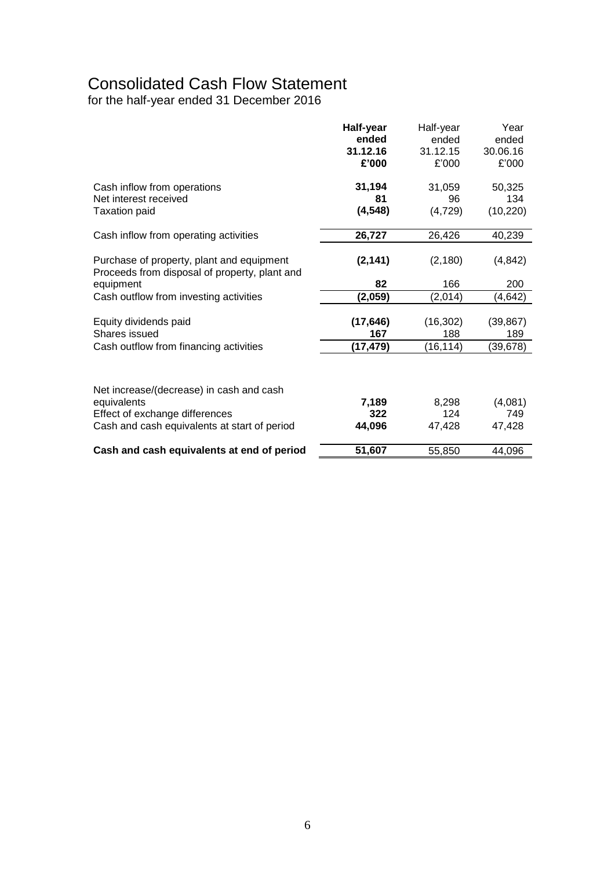# Consolidated Cash Flow Statement

for the half-year ended 31 December 2016

|                                                                                            | Half-year | Half-year | Year      |
|--------------------------------------------------------------------------------------------|-----------|-----------|-----------|
|                                                                                            | ended     | ended     | ended     |
|                                                                                            | 31.12.16  | 31.12.15  | 30.06.16  |
|                                                                                            | £'000     | £'000     | £'000     |
| Cash inflow from operations                                                                | 31,194    | 31,059    | 50,325    |
| Net interest received                                                                      | 81        | 96        | 134       |
| <b>Taxation paid</b>                                                                       | (4, 548)  | (4, 729)  | (10, 220) |
| Cash inflow from operating activities                                                      | 26,727    | 26,426    | 40,239    |
| Purchase of property, plant and equipment<br>Proceeds from disposal of property, plant and | (2, 141)  | (2, 180)  | (4, 842)  |
| equipment                                                                                  | 82        | 166       | 200       |
| Cash outflow from investing activities                                                     | (2,059)   | (2,014)   | (4,642)   |
| Equity dividends paid                                                                      | (17, 646) | (16, 302) | (39, 867) |
| Shares issued                                                                              | 167       | 188       | 189       |
| Cash outflow from financing activities                                                     | (17,479)  | (16, 114) | (39,678)  |
|                                                                                            |           |           |           |
| Net increase/(decrease) in cash and cash                                                   |           |           |           |
| equivalents                                                                                | 7,189     | 8,298     | (4,081)   |
| Effect of exchange differences                                                             | 322       | 124       | 749       |
| Cash and cash equivalents at start of period                                               | 44,096    | 47,428    | 47,428    |
| Cash and cash equivalents at end of period                                                 | 51,607    | 55,850    | 44,096    |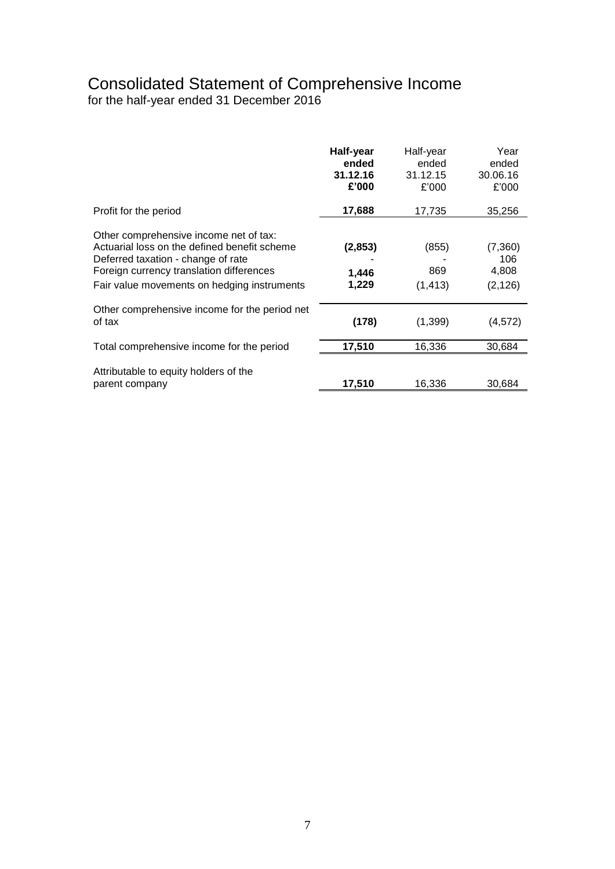# Consolidated Statement of Comprehensive Income

for the half-year ended 31 December 2016

|                                                                                                                                                                                                                         | Half-year<br>ended<br>31.12.16<br>£'000 | Half-year<br>ended<br>31.12.15<br>£'000 | Year<br>ended<br>30.06.16<br>£'000  |
|-------------------------------------------------------------------------------------------------------------------------------------------------------------------------------------------------------------------------|-----------------------------------------|-----------------------------------------|-------------------------------------|
| Profit for the period                                                                                                                                                                                                   | 17,688                                  | 17,735                                  | 35,256                              |
| Other comprehensive income net of tax:<br>Actuarial loss on the defined benefit scheme<br>Deferred taxation - change of rate<br>Foreign currency translation differences<br>Fair value movements on hedging instruments | (2, 853)<br>1,446<br>1,229              | (855)<br>869<br>(1, 413)                | (7,360)<br>106<br>4,808<br>(2, 126) |
| Other comprehensive income for the period net<br>of tax                                                                                                                                                                 | (178)                                   | (1, 399)                                | (4, 572)                            |
| Total comprehensive income for the period                                                                                                                                                                               | 17,510                                  | 16,336                                  | 30,684                              |
| Attributable to equity holders of the<br>parent company                                                                                                                                                                 | 17,510                                  | 16,336                                  | 30,684                              |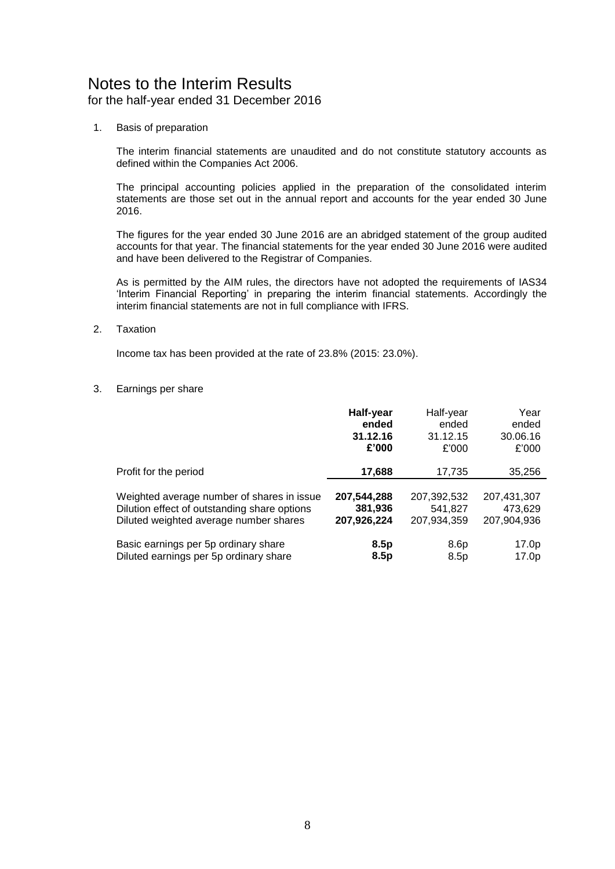# Notes to the Interim Results

for the half-year ended 31 December 2016

1. Basis of preparation

The interim financial statements are unaudited and do not constitute statutory accounts as defined within the Companies Act 2006.

The principal accounting policies applied in the preparation of the consolidated interim statements are those set out in the annual report and accounts for the year ended 30 June 2016.

The figures for the year ended 30 June 2016 are an abridged statement of the group audited accounts for that year. The financial statements for the year ended 30 June 2016 were audited and have been delivered to the Registrar of Companies.

As is permitted by the AIM rules, the directors have not adopted the requirements of IAS34 'Interim Financial Reporting' in preparing the interim financial statements. Accordingly the interim financial statements are not in full compliance with IFRS.

2. Taxation

Income tax has been provided at the rate of 23.8% (2015: 23.0%).

3. Earnings per share

|                                              | Half-year   | Half-year   | Year        |
|----------------------------------------------|-------------|-------------|-------------|
|                                              | ended       | ended       | ended       |
|                                              | 31.12.16    | 31.12.15    | 30.06.16    |
|                                              | £'000       | £'000       | £'000       |
| Profit for the period                        | 17,688      | 17,735      | 35,256      |
| Weighted average number of shares in issue   | 207,544,288 | 207,392,532 | 207,431,307 |
| Dilution effect of outstanding share options | 381,936     | 541,827     | 473,629     |
| Diluted weighted average number shares       | 207,926,224 | 207,934,359 | 207,904,936 |
| Basic earnings per 5p ordinary share         | 8.5p        | 8.6p        | 17.0p       |
| Diluted earnings per 5p ordinary share       | 8.5p        | 8.5p        | 17.0p       |